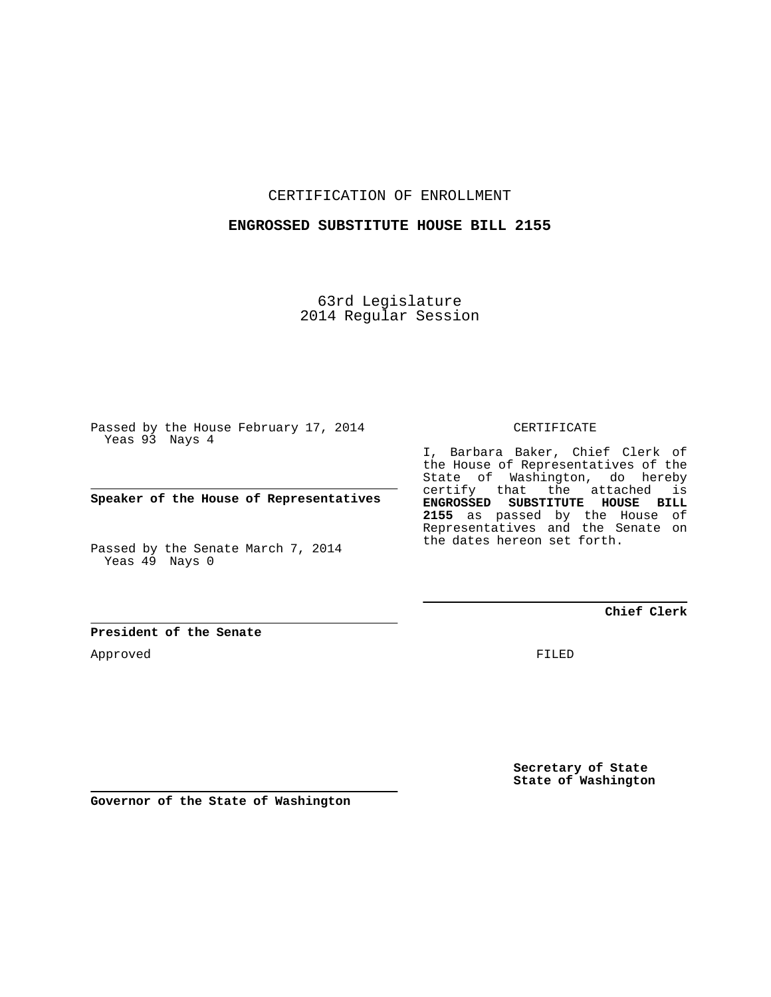CERTIFICATION OF ENROLLMENT

## **ENGROSSED SUBSTITUTE HOUSE BILL 2155**

63rd Legislature 2014 Regular Session

Passed by the House February 17, 2014 Yeas 93 Nays 4

**Speaker of the House of Representatives**

Passed by the Senate March 7, 2014 Yeas 49 Nays 0

CERTIFICATE

I, Barbara Baker, Chief Clerk of the House of Representatives of the State of Washington, do hereby certify that the attached is **ENGROSSED SUBSTITUTE HOUSE BILL 2155** as passed by the House of Representatives and the Senate on the dates hereon set forth.

**Chief Clerk**

**President of the Senate**

Approved

FILED

**Secretary of State State of Washington**

**Governor of the State of Washington**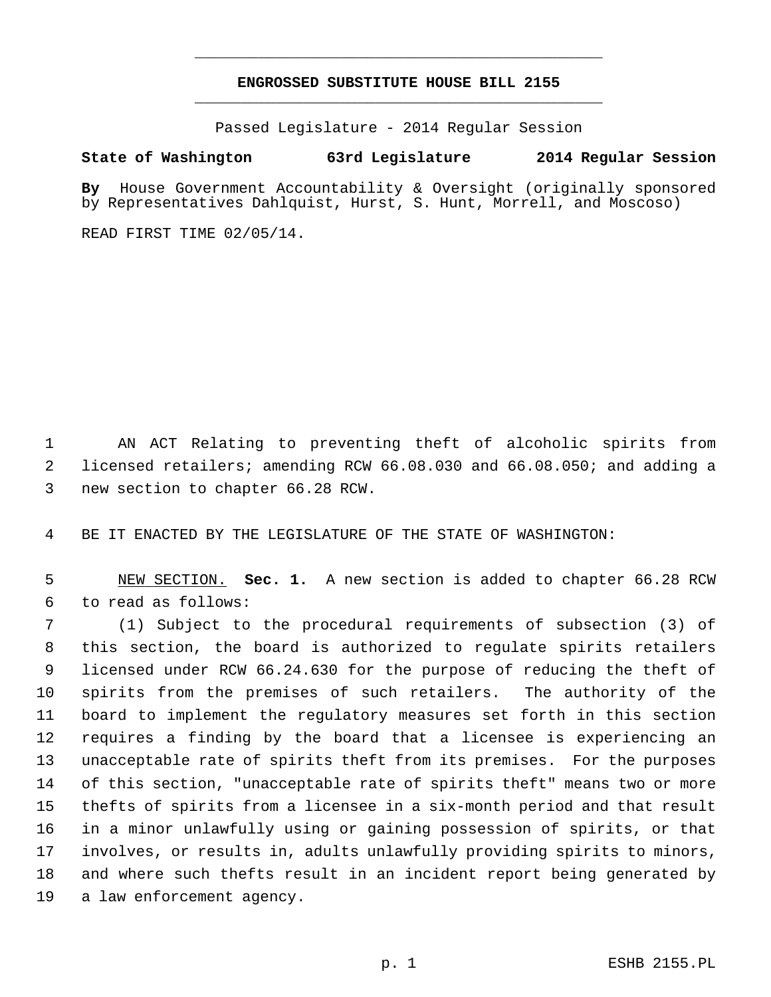## **ENGROSSED SUBSTITUTE HOUSE BILL 2155** \_\_\_\_\_\_\_\_\_\_\_\_\_\_\_\_\_\_\_\_\_\_\_\_\_\_\_\_\_\_\_\_\_\_\_\_\_\_\_\_\_\_\_\_\_

\_\_\_\_\_\_\_\_\_\_\_\_\_\_\_\_\_\_\_\_\_\_\_\_\_\_\_\_\_\_\_\_\_\_\_\_\_\_\_\_\_\_\_\_\_

Passed Legislature - 2014 Regular Session

## **State of Washington 63rd Legislature 2014 Regular Session**

**By** House Government Accountability & Oversight (originally sponsored by Representatives Dahlquist, Hurst, S. Hunt, Morrell, and Moscoso)

READ FIRST TIME 02/05/14.

 1 AN ACT Relating to preventing theft of alcoholic spirits from 2 licensed retailers; amending RCW 66.08.030 and 66.08.050; and adding a 3 new section to chapter 66.28 RCW.

4 BE IT ENACTED BY THE LEGISLATURE OF THE STATE OF WASHINGTON:

 5 NEW SECTION. **Sec. 1.** A new section is added to chapter 66.28 RCW 6 to read as follows:

 7 (1) Subject to the procedural requirements of subsection (3) of 8 this section, the board is authorized to regulate spirits retailers 9 licensed under RCW 66.24.630 for the purpose of reducing the theft of 10 spirits from the premises of such retailers. The authority of the 11 board to implement the regulatory measures set forth in this section 12 requires a finding by the board that a licensee is experiencing an 13 unacceptable rate of spirits theft from its premises. For the purposes 14 of this section, "unacceptable rate of spirits theft" means two or more 15 thefts of spirits from a licensee in a six-month period and that result 16 in a minor unlawfully using or gaining possession of spirits, or that 17 involves, or results in, adults unlawfully providing spirits to minors, 18 and where such thefts result in an incident report being generated by 19 a law enforcement agency.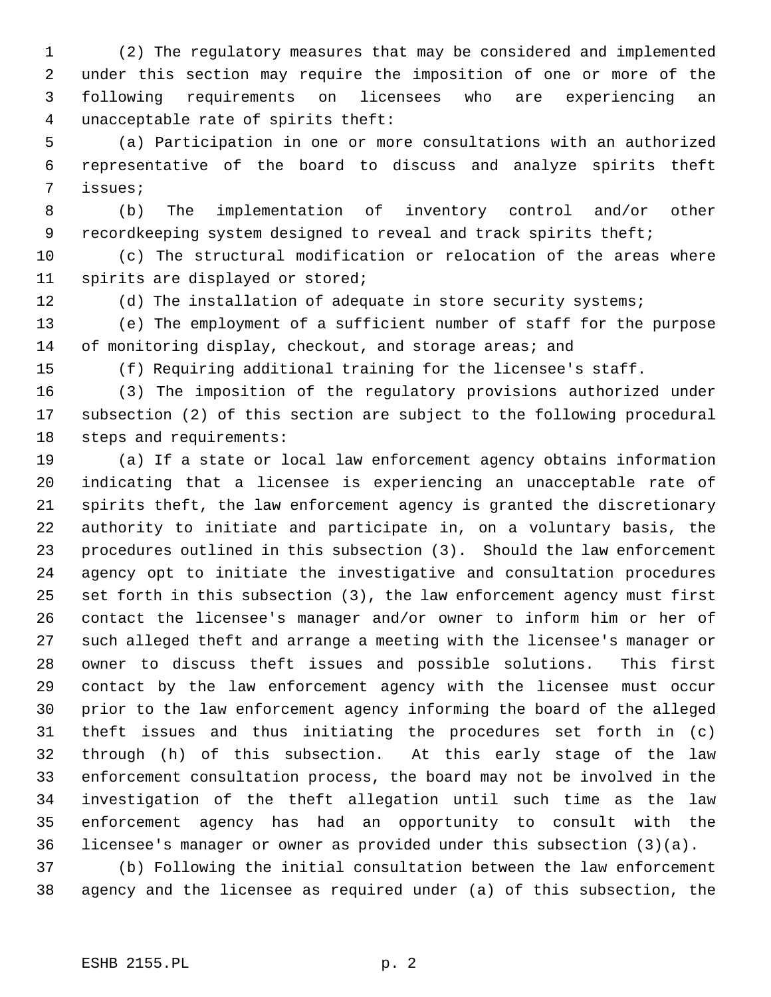1 (2) The regulatory measures that may be considered and implemented 2 under this section may require the imposition of one or more of the 3 following requirements on licensees who are experiencing an 4 unacceptable rate of spirits theft:

 5 (a) Participation in one or more consultations with an authorized 6 representative of the board to discuss and analyze spirits theft 7 issues;

 8 (b) The implementation of inventory control and/or other 9 recordkeeping system designed to reveal and track spirits theft;

10 (c) The structural modification or relocation of the areas where 11 spirits are displayed or stored;

12 (d) The installation of adequate in store security systems;

13 (e) The employment of a sufficient number of staff for the purpose 14 of monitoring display, checkout, and storage areas; and

15 (f) Requiring additional training for the licensee's staff.

16 (3) The imposition of the regulatory provisions authorized under 17 subsection (2) of this section are subject to the following procedural 18 steps and requirements:

19 (a) If a state or local law enforcement agency obtains information 20 indicating that a licensee is experiencing an unacceptable rate of 21 spirits theft, the law enforcement agency is granted the discretionary 22 authority to initiate and participate in, on a voluntary basis, the 23 procedures outlined in this subsection (3). Should the law enforcement 24 agency opt to initiate the investigative and consultation procedures 25 set forth in this subsection (3), the law enforcement agency must first 26 contact the licensee's manager and/or owner to inform him or her of 27 such alleged theft and arrange a meeting with the licensee's manager or 28 owner to discuss theft issues and possible solutions. This first 29 contact by the law enforcement agency with the licensee must occur 30 prior to the law enforcement agency informing the board of the alleged 31 theft issues and thus initiating the procedures set forth in (c) 32 through (h) of this subsection. At this early stage of the law 33 enforcement consultation process, the board may not be involved in the 34 investigation of the theft allegation until such time as the law 35 enforcement agency has had an opportunity to consult with the 36 licensee's manager or owner as provided under this subsection (3)(a).

37 (b) Following the initial consultation between the law enforcement 38 agency and the licensee as required under (a) of this subsection, the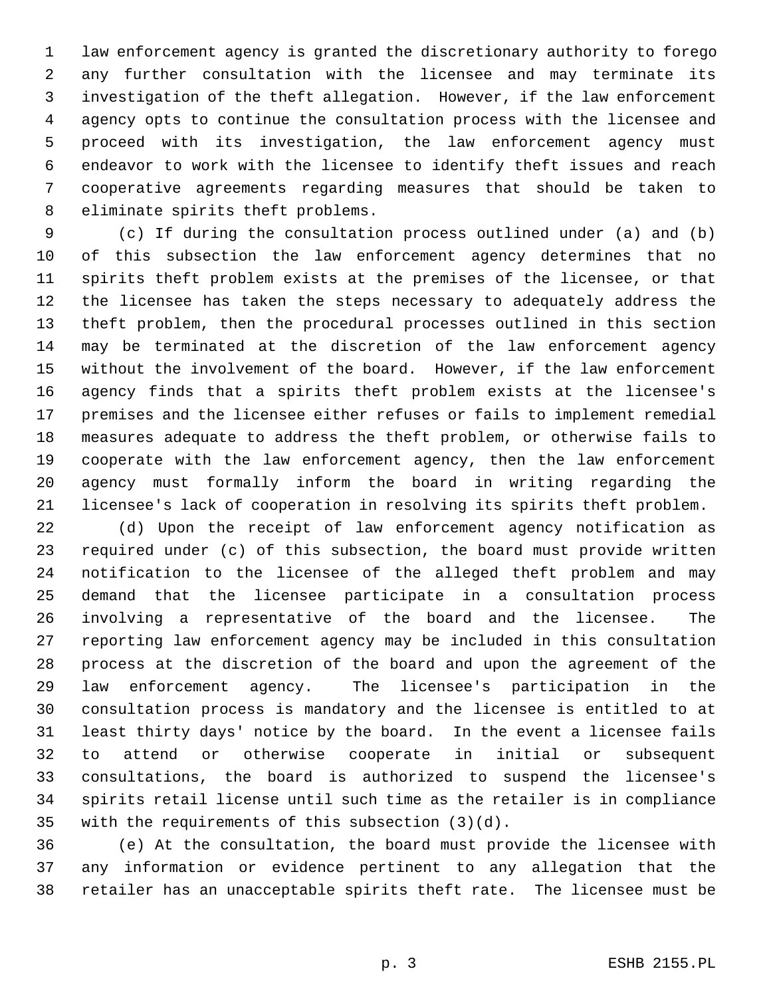1 law enforcement agency is granted the discretionary authority to forego 2 any further consultation with the licensee and may terminate its 3 investigation of the theft allegation. However, if the law enforcement 4 agency opts to continue the consultation process with the licensee and 5 proceed with its investigation, the law enforcement agency must 6 endeavor to work with the licensee to identify theft issues and reach 7 cooperative agreements regarding measures that should be taken to 8 eliminate spirits theft problems.

 9 (c) If during the consultation process outlined under (a) and (b) 10 of this subsection the law enforcement agency determines that no 11 spirits theft problem exists at the premises of the licensee, or that 12 the licensee has taken the steps necessary to adequately address the 13 theft problem, then the procedural processes outlined in this section 14 may be terminated at the discretion of the law enforcement agency 15 without the involvement of the board. However, if the law enforcement 16 agency finds that a spirits theft problem exists at the licensee's 17 premises and the licensee either refuses or fails to implement remedial 18 measures adequate to address the theft problem, or otherwise fails to 19 cooperate with the law enforcement agency, then the law enforcement 20 agency must formally inform the board in writing regarding the 21 licensee's lack of cooperation in resolving its spirits theft problem.

22 (d) Upon the receipt of law enforcement agency notification as 23 required under (c) of this subsection, the board must provide written 24 notification to the licensee of the alleged theft problem and may 25 demand that the licensee participate in a consultation process 26 involving a representative of the board and the licensee. The 27 reporting law enforcement agency may be included in this consultation 28 process at the discretion of the board and upon the agreement of the 29 law enforcement agency. The licensee's participation in the 30 consultation process is mandatory and the licensee is entitled to at 31 least thirty days' notice by the board. In the event a licensee fails 32 to attend or otherwise cooperate in initial or subsequent 33 consultations, the board is authorized to suspend the licensee's 34 spirits retail license until such time as the retailer is in compliance 35 with the requirements of this subsection (3)(d).

36 (e) At the consultation, the board must provide the licensee with 37 any information or evidence pertinent to any allegation that the 38 retailer has an unacceptable spirits theft rate. The licensee must be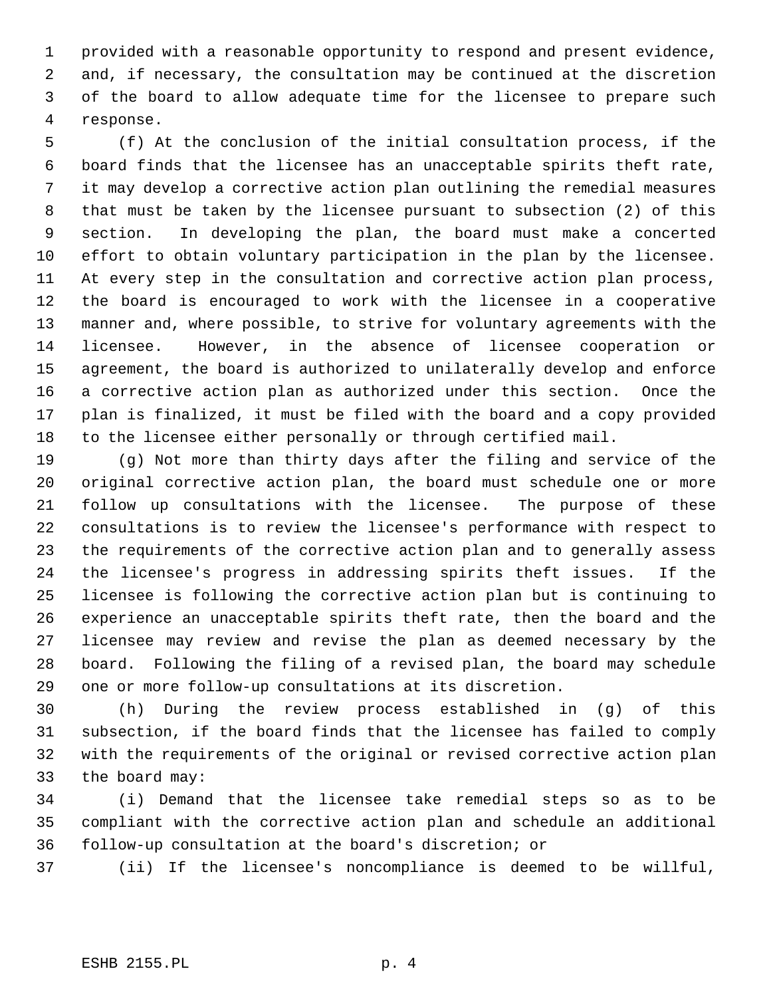1 provided with a reasonable opportunity to respond and present evidence, 2 and, if necessary, the consultation may be continued at the discretion 3 of the board to allow adequate time for the licensee to prepare such 4 response.

 5 (f) At the conclusion of the initial consultation process, if the 6 board finds that the licensee has an unacceptable spirits theft rate, 7 it may develop a corrective action plan outlining the remedial measures 8 that must be taken by the licensee pursuant to subsection (2) of this 9 section. In developing the plan, the board must make a concerted 10 effort to obtain voluntary participation in the plan by the licensee. 11 At every step in the consultation and corrective action plan process, 12 the board is encouraged to work with the licensee in a cooperative 13 manner and, where possible, to strive for voluntary agreements with the 14 licensee. However, in the absence of licensee cooperation or 15 agreement, the board is authorized to unilaterally develop and enforce 16 a corrective action plan as authorized under this section. Once the 17 plan is finalized, it must be filed with the board and a copy provided 18 to the licensee either personally or through certified mail.

19 (g) Not more than thirty days after the filing and service of the 20 original corrective action plan, the board must schedule one or more 21 follow up consultations with the licensee. The purpose of these 22 consultations is to review the licensee's performance with respect to 23 the requirements of the corrective action plan and to generally assess 24 the licensee's progress in addressing spirits theft issues. If the 25 licensee is following the corrective action plan but is continuing to 26 experience an unacceptable spirits theft rate, then the board and the 27 licensee may review and revise the plan as deemed necessary by the 28 board. Following the filing of a revised plan, the board may schedule 29 one or more follow-up consultations at its discretion.

30 (h) During the review process established in (g) of this 31 subsection, if the board finds that the licensee has failed to comply 32 with the requirements of the original or revised corrective action plan 33 the board may:

34 (i) Demand that the licensee take remedial steps so as to be 35 compliant with the corrective action plan and schedule an additional 36 follow-up consultation at the board's discretion; or

37 (ii) If the licensee's noncompliance is deemed to be willful,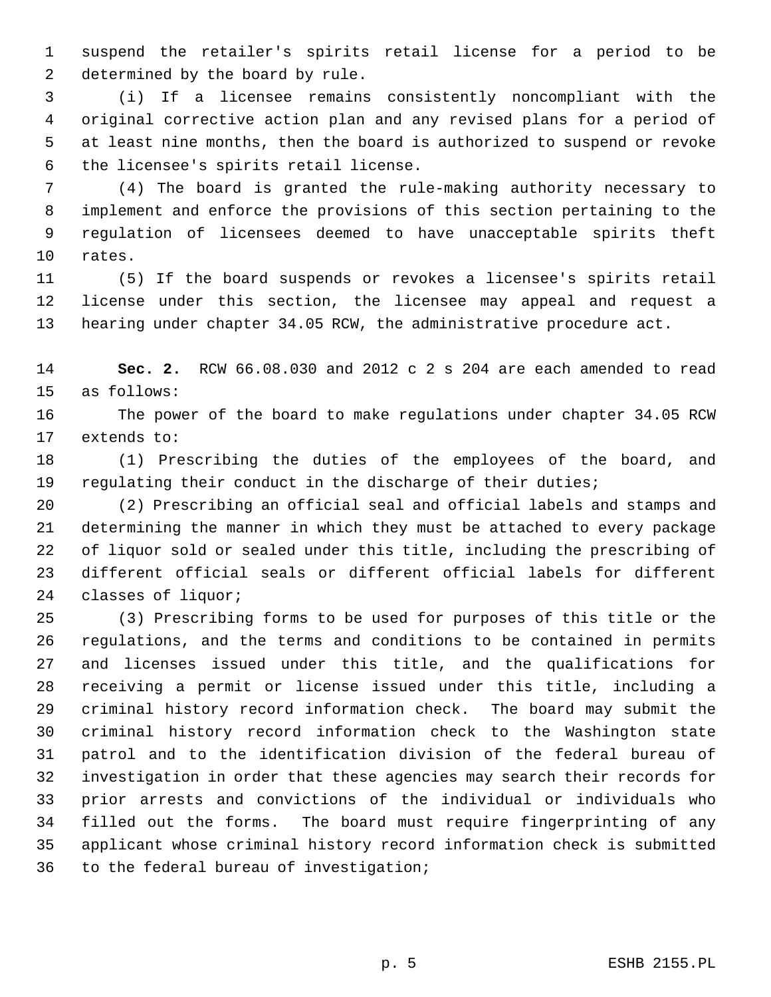1 suspend the retailer's spirits retail license for a period to be 2 determined by the board by rule.

 3 (i) If a licensee remains consistently noncompliant with the 4 original corrective action plan and any revised plans for a period of 5 at least nine months, then the board is authorized to suspend or revoke 6 the licensee's spirits retail license.

 7 (4) The board is granted the rule-making authority necessary to 8 implement and enforce the provisions of this section pertaining to the 9 regulation of licensees deemed to have unacceptable spirits theft 10 rates.

11 (5) If the board suspends or revokes a licensee's spirits retail 12 license under this section, the licensee may appeal and request a 13 hearing under chapter 34.05 RCW, the administrative procedure act.

14 **Sec. 2.** RCW 66.08.030 and 2012 c 2 s 204 are each amended to read 15 as follows:

16 The power of the board to make regulations under chapter 34.05 RCW 17 extends to:

18 (1) Prescribing the duties of the employees of the board, and 19 regulating their conduct in the discharge of their duties;

20 (2) Prescribing an official seal and official labels and stamps and 21 determining the manner in which they must be attached to every package 22 of liquor sold or sealed under this title, including the prescribing of 23 different official seals or different official labels for different 24 classes of liquor;

25 (3) Prescribing forms to be used for purposes of this title or the 26 regulations, and the terms and conditions to be contained in permits 27 and licenses issued under this title, and the qualifications for 28 receiving a permit or license issued under this title, including a 29 criminal history record information check. The board may submit the 30 criminal history record information check to the Washington state 31 patrol and to the identification division of the federal bureau of 32 investigation in order that these agencies may search their records for 33 prior arrests and convictions of the individual or individuals who 34 filled out the forms. The board must require fingerprinting of any 35 applicant whose criminal history record information check is submitted 36 to the federal bureau of investigation;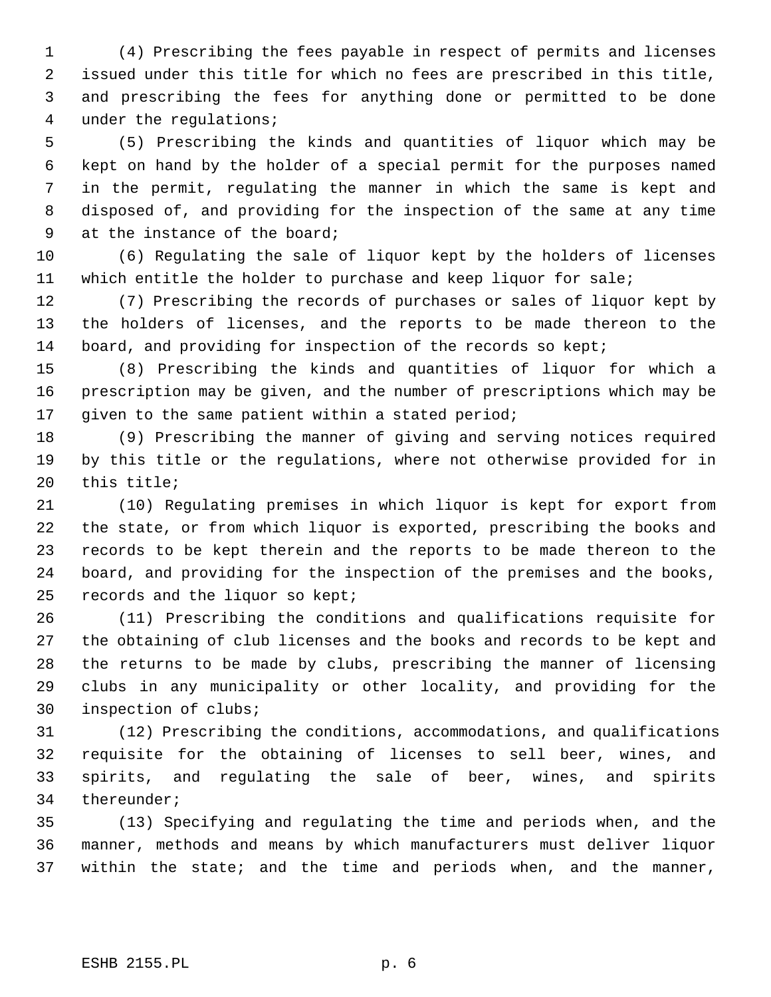1 (4) Prescribing the fees payable in respect of permits and licenses 2 issued under this title for which no fees are prescribed in this title, 3 and prescribing the fees for anything done or permitted to be done 4 under the regulations;

 5 (5) Prescribing the kinds and quantities of liquor which may be 6 kept on hand by the holder of a special permit for the purposes named 7 in the permit, regulating the manner in which the same is kept and 8 disposed of, and providing for the inspection of the same at any time 9 at the instance of the board;

10 (6) Regulating the sale of liquor kept by the holders of licenses 11 which entitle the holder to purchase and keep liquor for sale;

12 (7) Prescribing the records of purchases or sales of liquor kept by 13 the holders of licenses, and the reports to be made thereon to the 14 board, and providing for inspection of the records so kept;

15 (8) Prescribing the kinds and quantities of liquor for which a 16 prescription may be given, and the number of prescriptions which may be 17 given to the same patient within a stated period;

18 (9) Prescribing the manner of giving and serving notices required 19 by this title or the regulations, where not otherwise provided for in 20 this title;

21 (10) Regulating premises in which liquor is kept for export from 22 the state, or from which liquor is exported, prescribing the books and 23 records to be kept therein and the reports to be made thereon to the 24 board, and providing for the inspection of the premises and the books, 25 records and the liquor so kept;

26 (11) Prescribing the conditions and qualifications requisite for 27 the obtaining of club licenses and the books and records to be kept and 28 the returns to be made by clubs, prescribing the manner of licensing 29 clubs in any municipality or other locality, and providing for the 30 inspection of clubs;

31 (12) Prescribing the conditions, accommodations, and qualifications 32 requisite for the obtaining of licenses to sell beer, wines, and 33 spirits, and regulating the sale of beer, wines, and spirits 34 thereunder;

35 (13) Specifying and regulating the time and periods when, and the 36 manner, methods and means by which manufacturers must deliver liquor 37 within the state; and the time and periods when, and the manner,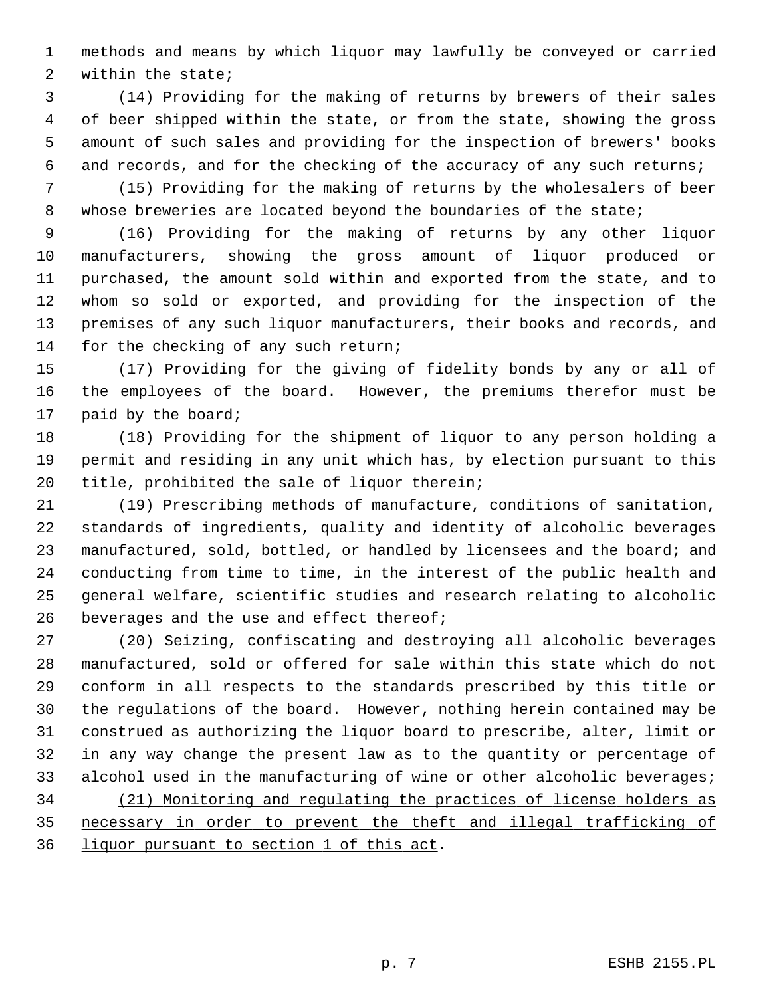1 methods and means by which liquor may lawfully be conveyed or carried 2 within the state;

 3 (14) Providing for the making of returns by brewers of their sales 4 of beer shipped within the state, or from the state, showing the gross 5 amount of such sales and providing for the inspection of brewers' books 6 and records, and for the checking of the accuracy of any such returns;

 7 (15) Providing for the making of returns by the wholesalers of beer 8 whose breweries are located beyond the boundaries of the state;

 9 (16) Providing for the making of returns by any other liquor 10 manufacturers, showing the gross amount of liquor produced or 11 purchased, the amount sold within and exported from the state, and to 12 whom so sold or exported, and providing for the inspection of the 13 premises of any such liquor manufacturers, their books and records, and 14 for the checking of any such return;

15 (17) Providing for the giving of fidelity bonds by any or all of 16 the employees of the board. However, the premiums therefor must be 17 paid by the board;

18 (18) Providing for the shipment of liquor to any person holding a 19 permit and residing in any unit which has, by election pursuant to this 20 title, prohibited the sale of liquor therein;

21 (19) Prescribing methods of manufacture, conditions of sanitation, 22 standards of ingredients, quality and identity of alcoholic beverages 23 manufactured, sold, bottled, or handled by licensees and the board; and 24 conducting from time to time, in the interest of the public health and 25 general welfare, scientific studies and research relating to alcoholic 26 beverages and the use and effect thereof;

27 (20) Seizing, confiscating and destroying all alcoholic beverages 28 manufactured, sold or offered for sale within this state which do not 29 conform in all respects to the standards prescribed by this title or 30 the regulations of the board. However, nothing herein contained may be 31 construed as authorizing the liquor board to prescribe, alter, limit or 32 in any way change the present law as to the quantity or percentage of 33 alcohol used in the manufacturing of wine or other alcoholic beverages; 34 (21) Monitoring and regulating the practices of license holders as 35 necessary in order to prevent the theft and illegal trafficking of 36 liquor pursuant to section 1 of this act.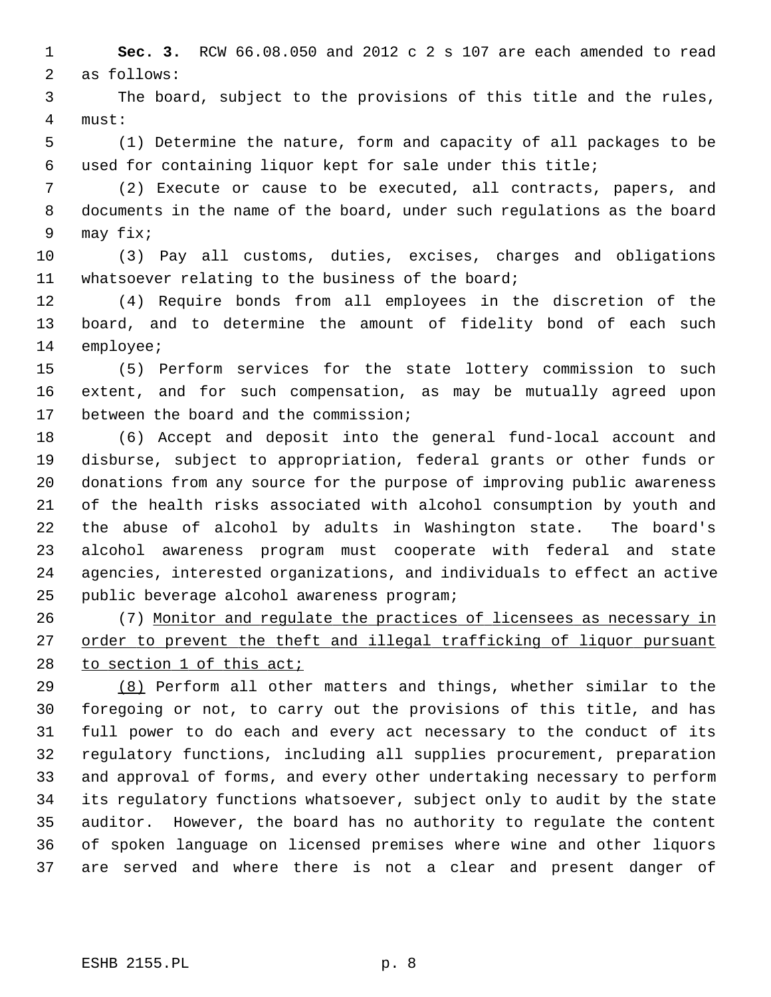1 **Sec. 3.** RCW 66.08.050 and 2012 c 2 s 107 are each amended to read 2 as follows:

 3 The board, subject to the provisions of this title and the rules, 4 must:

 5 (1) Determine the nature, form and capacity of all packages to be 6 used for containing liquor kept for sale under this title;

 7 (2) Execute or cause to be executed, all contracts, papers, and 8 documents in the name of the board, under such regulations as the board 9 may fix;

10 (3) Pay all customs, duties, excises, charges and obligations 11 whatsoever relating to the business of the board;

12 (4) Require bonds from all employees in the discretion of the 13 board, and to determine the amount of fidelity bond of each such 14 employee;

15 (5) Perform services for the state lottery commission to such 16 extent, and for such compensation, as may be mutually agreed upon 17 between the board and the commission;

18 (6) Accept and deposit into the general fund-local account and 19 disburse, subject to appropriation, federal grants or other funds or 20 donations from any source for the purpose of improving public awareness 21 of the health risks associated with alcohol consumption by youth and 22 the abuse of alcohol by adults in Washington state. The board's 23 alcohol awareness program must cooperate with federal and state 24 agencies, interested organizations, and individuals to effect an active 25 public beverage alcohol awareness program;

26 (7) Monitor and regulate the practices of licensees as necessary in 27 order to prevent the theft and illegal trafficking of liquor pursuant 28 to section 1 of this act;

29 (8) Perform all other matters and things, whether similar to the 30 foregoing or not, to carry out the provisions of this title, and has 31 full power to do each and every act necessary to the conduct of its 32 regulatory functions, including all supplies procurement, preparation 33 and approval of forms, and every other undertaking necessary to perform 34 its regulatory functions whatsoever, subject only to audit by the state 35 auditor. However, the board has no authority to regulate the content 36 of spoken language on licensed premises where wine and other liquors 37 are served and where there is not a clear and present danger of